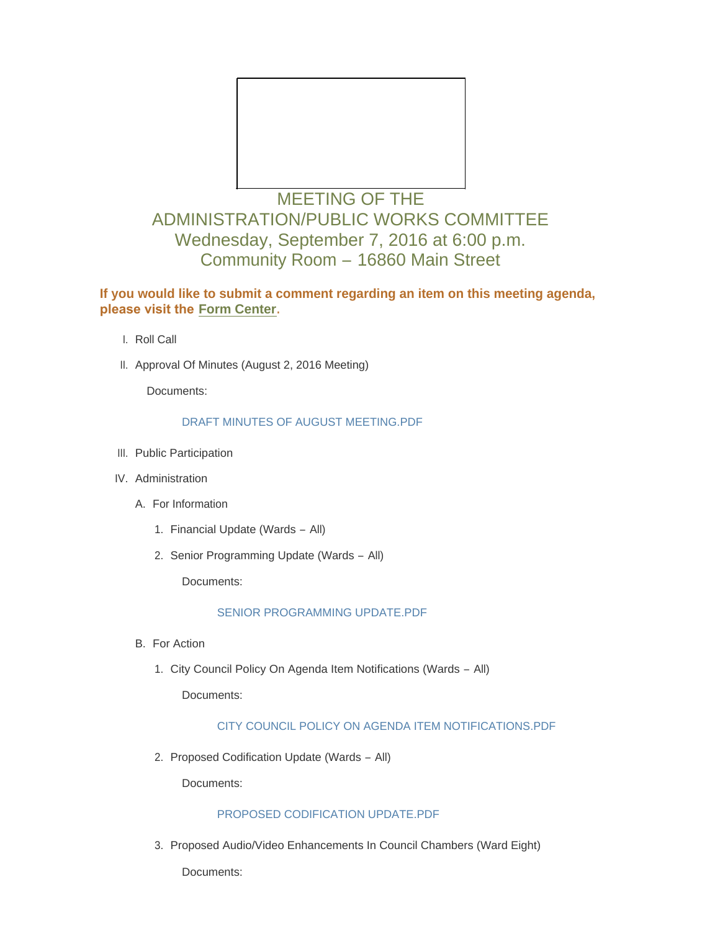

# MEETING OF THE ADMINISTRATION/PUBLIC WORKS COMMITTEE Wednesday, September 7, 2016 at 6:00 p.m. Community Room – 16860 Main Street

## **If you would like to submit a comment regarding an item on this meeting agenda, please visit the [Form Center.](http://mo-wildwood.civicplus.com/FormCenter/Planning-Department-5/Public-Hearing-Comment-Form-48)**

- l. Roll Call
- II. Approval Of Minutes (August 2, 2016 Meeting)

Documents:

## [DRAFT MINUTES OF AUGUST MEETING.PDF](http://mo-wildwood.civicplus.com/AgendaCenter/ViewFile/Item/8081?fileID=12135)

- III. Public Participation
- IV. Administration
	- A. For Information
		- 1. Financial Update (Wards All)
		- 2. Senior Programming Update (Wards All)

Documents:

## [SENIOR PROGRAMMING UPDATE.PDF](http://mo-wildwood.civicplus.com/AgendaCenter/ViewFile/Item/8090?fileID=12136)

- **B.** For Action
	- 1. City Council Policy On Agenda Item Notifications (Wards All)

Documents:

## [CITY COUNCIL POLICY ON AGENDA ITEM NOTIFICATIONS.PDF](http://mo-wildwood.civicplus.com/AgendaCenter/ViewFile/Item/8091?fileID=12137)

2. Proposed Codification Update (Wards - All)

Documents:

## [PROPOSED CODIFICATION UPDATE.PDF](http://mo-wildwood.civicplus.com/AgendaCenter/ViewFile/Item/8092?fileID=12138)

3. Proposed Audio/Video Enhancements In Council Chambers (Ward Eight)

Documents: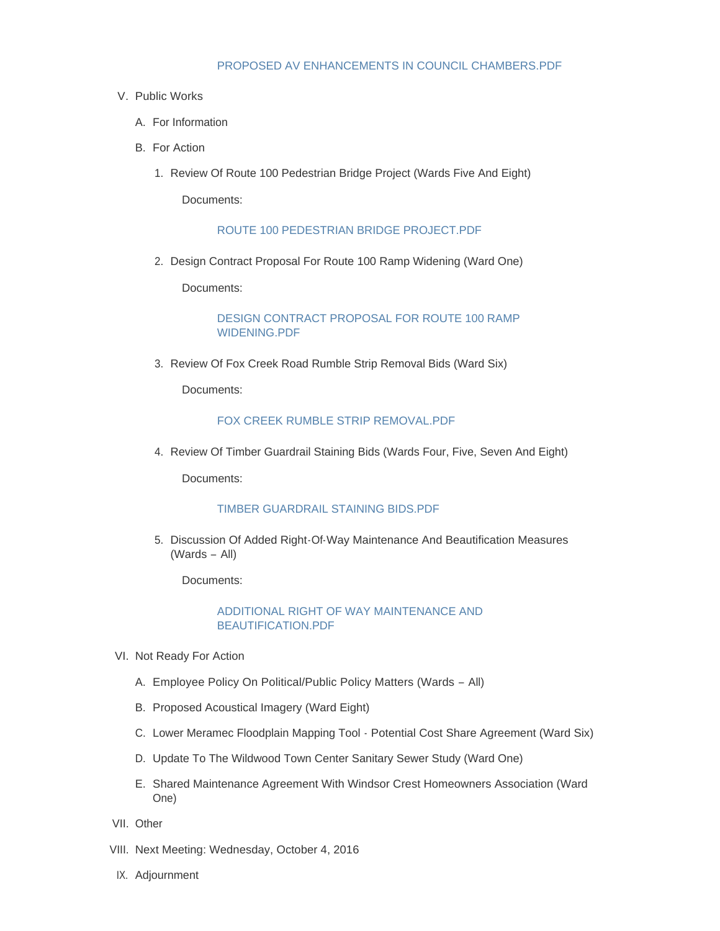#### [PROPOSED AV ENHANCEMENTS IN COUNCIL CHAMBERS.PDF](http://mo-wildwood.civicplus.com/AgendaCenter/ViewFile/Item/8093?fileID=12139)

#### V. Public Works

- A. For Information
- **B.** For Action
	- 1. Review Of Route 100 Pedestrian Bridge Project (Wards Five And Eight)

Documents:

#### [ROUTE 100 PEDESTRIAN BRIDGE PROJECT.PDF](http://mo-wildwood.civicplus.com/AgendaCenter/ViewFile/Item/8094?fileID=12142)

2. Design Contract Proposal For Route 100 Ramp Widening (Ward One)

Documents:

[DESIGN CONTRACT PROPOSAL FOR ROUTE 100 RAMP](http://mo-wildwood.civicplus.com/AgendaCenter/ViewFile/Item/8101?fileID=12143)  WIDENING.PDF

3. Review Of Fox Creek Road Rumble Strip Removal Bids (Ward Six)

Documents:

#### [FOX CREEK RUMBLE STRIP REMOVAL.PDF](http://mo-wildwood.civicplus.com/AgendaCenter/ViewFile/Item/8100?fileID=12141)

4. Review Of Timber Guardrail Staining Bids (Wards Four, Five, Seven And Eight)

Documents:

#### [TIMBER GUARDRAIL STAINING BIDS.PDF](http://mo-wildwood.civicplus.com/AgendaCenter/ViewFile/Item/8102?fileID=12144)

5. Discussion Of Added Right-Of-Way Maintenance And Beautification Measures (Wards – All)

Documents:

#### [ADDITIONAL RIGHT OF WAY MAINTENANCE AND](http://mo-wildwood.civicplus.com/AgendaCenter/ViewFile/Item/8103?fileID=12145)  BEAUTIFICATION.PDF

- VI. Not Ready For Action
	- A. Employee Policy On Political/Public Policy Matters (Wards All)
	- B. Proposed Acoustical Imagery (Ward Eight)
	- C. Lower Meramec Floodplain Mapping Tool Potential Cost Share Agreement (Ward Six)
	- D. Update To The Wildwood Town Center Sanitary Sewer Study (Ward One)
	- E. Shared Maintenance Agreement With Windsor Crest Homeowners Association (Ward One)
- VII. Other
- VIII. Next Meeting: Wednesday, October 4, 2016
- IX. Adjournment